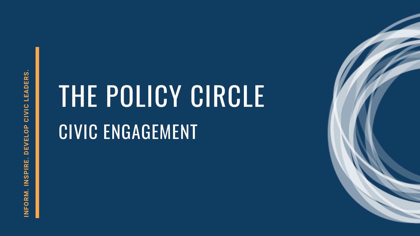# THE POLICY CIRCLE CIVIC ENGAGEMENT

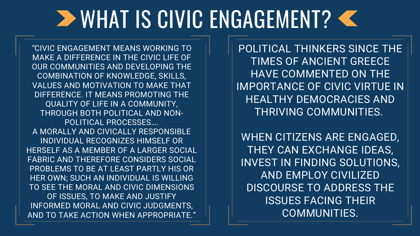POLITICAL THINKERS SINCE THE TIMES OF ANCIENT GREECE HAVE COMMENTED ON THE IMPORTANCE OF CIVIC VIRTUE IN HEALTHY DEMOCRACIES AND THRIVING COMMUNITIES.

WHEN CITIZENS ARE ENGAGED, THEY CAN EXCHANGE IDEAS, INVEST IN FINDING SOLUTIONS, AND EMPLOY CIVILIZED DISCOURSE TO ADDRESS THE ISSUES FACING THEIR COMMUNITIES.

### **DE WHAT IS CIVIC ENGAGEMENT? <**

*"*CIVIC ENGAGEMENT MEANS WORKING TO MAKE A DIFFERENCE IN THE CIVIC LIFE OF OUR COMMUNITIES AND DEVELOPING THE COMBINATION OF KNOWLEDGE, SKILLS, VALUES AND MOTIVATION TO MAKE THAT DIFFERENCE. IT MEANS PROMOTING THE QUALITY OF LIFE IN A COMMUNITY, THROUGH BOTH POLITICAL AND NON-POLITICAL PROCESSES…. A MORALLY AND CIVICALLY RESPONSIBLE INDIVIDUAL RECOGNIZES HIMSELF OR HERSELF AS A MEMBER OF A LARGER SOCIAL FABRIC AND THEREFORE CONSIDERS SOCIAL PROBLEMS TO BE AT LEAST PARTLY HIS OR HER OWN; SUCH AN INDIVIDUAL IS WILLING TO SEE THE MORAL AND CIVIC DIMENSIONS OF ISSUES, TO MAKE AND JUSTIFY INFORMED MORAL AND CIVIC JUDGMENTS, AND TO TAKE ACTION WHEN APPROPRIATE."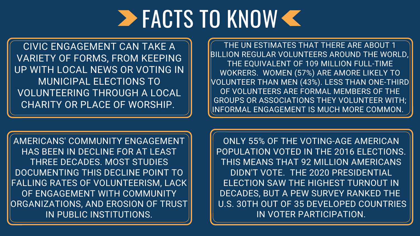### FACTS TO KNOW

CIVIC ENGAGEMENT CAN TAKE A VARIETY OF FORMS, FROM KEEPING UP WITH LOCAL NEWS OR VOTING IN MUNICIPAL ELECTIONS TO VOLUNTEERING THROUGH A LOCAL CHARITY OR PLACE OF WORSHIP.

THE UN ESTIMATES THAT THERE ARE ABOUT 1 BILLION REGULAR VOLUNTEERS AROUND THE WORLD, THE EQUIVALENT OF 109 MILLION FULL-TIME WOKRERS. WOMEN (57%) ARE AMORE LIKELY TO VOLUNTEER THAN MEN (43%). LESS THAN ONE-THIRD OF VOLUNTEERS ARE FORMAL MEMBERS OF THE GROUPS OR ASSOCIATIONS THEY VOLUNTEER WITH; INFORMAL ENGAGEMENT IS MUCH MORE COMMON.

AMERICANS' COMMUNITY ENGAGEMENT HAS BEEN IN DECLINE FOR AT LEAST THREE DECADES. MOST STUDIES DOCUMENTING THIS DECLINE POINT TO FALLING RATES OF VOLUNTEERISM, LACK OF ENGAGEMENT WITH COMMUNITY ORGANIZATIONS, AND EROSION OF TRUST IN PUBLIC INSTITUTIONS.

ONLY 55% OF THE VOTING-AGE AMERICAN POPULATION VOTED IN THE 2016 ELECTIONS. THIS MEANS THAT 92 MILLION AMERICANS DIDN'T VOTE. THE 2020 PRESIDENTIAL ELECTION SAW THE HIGHEST TURNOUT IN DECADES, BUT A PEW SURVEY RANKED THE U.S. 30TH OUT OF 35 DEVELOPED COUNTRIES IN VOTER PARTICIPATION.

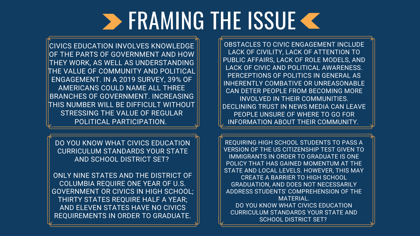## **SERAMING THE ISSUE K**

CIVICS EDUCATION INVOLVES KNOWLEDGE OF THE PARTS OF GOVERNMENT AND HOW THEY WORK, AS WELL AS UNDERSTANDING THE VALUE OF COMMUNITY AND POLITICAL ENGAGEMENT. IN A 2019 SURVEY, 39% OF AMERICANS COULD NAME ALL THREE BRANCHES OF GOVERNMENT. INCREASING THIS NUMBER WILL BE DIFFICULT WITHOUT STRESSING THE VALUE OF REGULAR POLITICAL PARTICIPATION.

OBSTACLES TO CIVIC ENGAGEMENT INCLUDE LACK OF CIVILITY, LACK OF ATTENTION TO PUBLIC AFFAIRS, LACK OF ROLE MODELS, AND LACK OF CIVIC AND POLITICAL AWARENESS. PERCEPTIONS OF POLITICS IN GENERAL AS INHERENTLY COMBATIVE OR UNREASONABLE CAN DETER PEOPLE FROM BECOMING MORE INVOLVED IN THEIR COMMUNITIES. DECLINING TRUST IN NEWS MEDIA CAN LEAVE PEOPLE UNSURE OF WHERE TO GO FOR INFORMATION ABOUT THEIR COMMUNITY.

REQUIRING HIGH SCHOOL STUDENTS TO PASS A VERSION OF THE US CITIZENSHIP TEST GIVEN TO IMMIGRANTS IN ORDER TO GRADUATE IS ONE POLICY THAT HAS GAINED MOMENTUM AT THE STATE AND LOCAL LEVELS. HOWEVER, THIS MAY CREATE A BARRIER TO HIGH SCHOOL GRADUATION, AND DOES NOT NECESSARILY ADDRESS STUDENTS' COMPREHENSION OF THE MATERIAL. DO YOU KNOW WHAT CIVICS EDUCATION CURRICULUM STANDARDS YOUR STATE AND SCHOOL DISTRICT SET?

DO YOU KNOW WHAT CIVICS EDUCATION CURRICULUM STANDARDS YOUR STATE AND SCHOOL DISTRICT SET?

ONLY NINE STATES AND THE DISTRICT OF COLUMBIA REQUIRE ONE YEAR OF U.S. GOVERNMENT OR CIVICS IN HIGH SCHOOL; THIRTY STATES REQUIRE HALF A YEAR; AND ELEVEN STATES HAVE NO CIVICS REQUIREMENTS IN ORDER TO GRADUATE.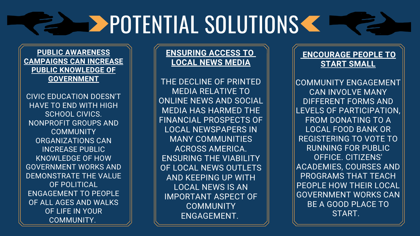### **ENSURING ACCESS TO LOCAL NEWS MEDIA**

THE DECLINE OF PRINTED MEDIA RELATIVE TO ONLINE NEWS AND SOCIAL MEDIA HAS HARMED THE FINANCIAL PROSPECTS OF LOCAL NEWSPAPERS IN MANY COMMUNITIES ACROSS AMERICA. ENSURING THE VIABILITY OF LOCAL NEWS OUTLETS AND KEEPING UP WITH LOCAL NEWS IS AN IMPORTANT ASPECT OF **COMMUNITY** ENGAGEMENT.

# **RELEASE POTENTIAL SOLUTIONS CONSTRUCTIONS**

**PUBLIC AWARENESS CAMPAIGNS CAN INCREASE PUBLIC KNOWLEDGE OF GOVERNMENT**

CIVIC EDUCATION DOESN'T HAVE TO END WITH HIGH SCHOOL CIVICS. NONPROFIT GROUPS AND **COMMUNITY** ORGANIZATIONS CAN INCREASE PUBLIC KNOWLEDGE OF HOW GOVERNMENT WORKS AND DEMONSTRATE THE VALUE OF POLITICAL ENGAGEMENT TO PEOPLE OF ALL AGES AND WALKS OF LIFE IN YOUR COMMUNITY.

### **ENCOURAGE PEOPLE TO START SMALL**

COMMUNITY ENGAGEMENT CAN INVOLVE MANY DIFFERENT FORMS AND LEVELS OF PARTICIPATION, FROM DONATING TO A LOCAL FOOD BANK OR REGISTERING TO VOTE TO RUNNING FOR PUBLIC OFFICE. CITIZENS' ACADEMIES, COURSES AND PROGRAMS THAT TEACH PEOPLE HOW THEIR LOCAL GOVERNMENT WORKS CAN BE A GOOD PLACE TO START.